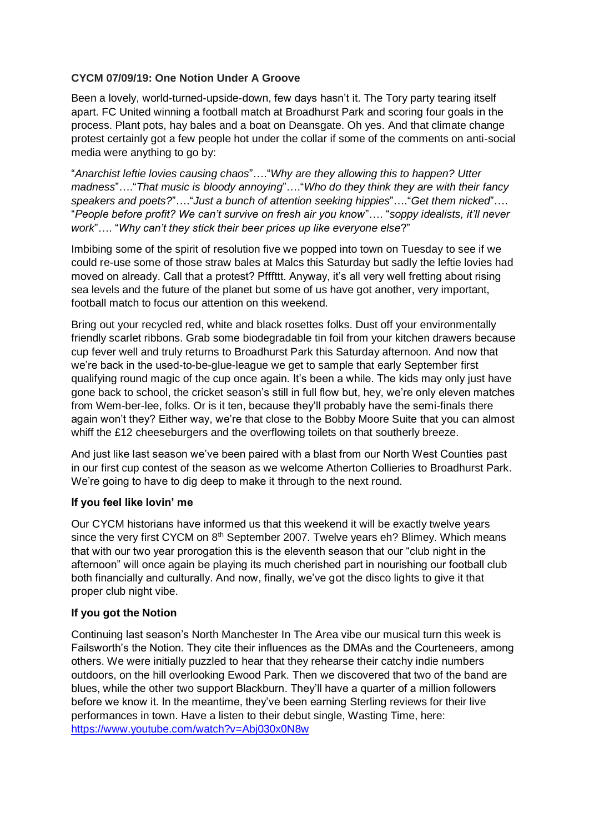# **CYCM 07/09/19: One Notion Under A Groove**

Been a lovely, world-turned-upside-down, few days hasn't it. The Tory party tearing itself apart. FC United winning a football match at Broadhurst Park and scoring four goals in the process. Plant pots, hay bales and a boat on Deansgate. Oh yes. And that climate change protest certainly got a few people hot under the collar if some of the comments on anti-social media were anything to go by:

"*Anarchist leftie lovies causing chaos*"…."*Why are they allowing this to happen? Utter madness*"…."*That music is bloody annoying*"…."*Who do they think they are with their fancy speakers and poets?*"…."*Just a bunch of attention seeking hippies*"…."*Get them nicked*"…. "*People before profit? We can't survive on fresh air you know*"…. "*soppy idealists, it'll never work*"…. "*Why can't they stick their beer prices up like everyone else*?"

Imbibing some of the spirit of resolution five we popped into town on Tuesday to see if we could re-use some of those straw bales at Malcs this Saturday but sadly the leftie lovies had moved on already. Call that a protest? Pfffttt. Anyway, it's all very well fretting about rising sea levels and the future of the planet but some of us have got another, very important, football match to focus our attention on this weekend.

Bring out your recycled red, white and black rosettes folks. Dust off your environmentally friendly scarlet ribbons. Grab some biodegradable tin foil from your kitchen drawers because cup fever well and truly returns to Broadhurst Park this Saturday afternoon. And now that we're back in the used-to-be-glue-league we get to sample that early September first qualifying round magic of the cup once again. It's been a while. The kids may only just have gone back to school, the cricket season's still in full flow but, hey, we're only eleven matches from Wem-ber-lee, folks. Or is it ten, because they'll probably have the semi-finals there again won't they? Either way, we're that close to the Bobby Moore Suite that you can almost whiff the £12 cheeseburgers and the overflowing toilets on that southerly breeze.

And just like last season we've been paired with a blast from our North West Counties past in our first cup contest of the season as we welcome Atherton Collieries to Broadhurst Park. We're going to have to dig deep to make it through to the next round.

### **If you feel like lovin' me**

Our CYCM historians have informed us that this weekend it will be exactly twelve years since the very first CYCM on 8<sup>th</sup> September 2007. Twelve years eh? Blimey. Which means that with our two year prorogation this is the eleventh season that our "club night in the afternoon" will once again be playing its much cherished part in nourishing our football club both financially and culturally. And now, finally, we've got the disco lights to give it that proper club night vibe.

### **If you got the Notion**

Continuing last season's North Manchester In The Area vibe our musical turn this week is Failsworth's the Notion. They cite their influences as the DMAs and the Courteneers, among others. We were initially puzzled to hear that they rehearse their catchy indie numbers outdoors, on the hill overlooking Ewood Park. Then we discovered that two of the band are blues, while the other two support Blackburn. They'll have a quarter of a million followers before we know it. In the meantime, they've been earning Sterling reviews for their live performances in town. Have a listen to their debut single, Wasting Time, here: <https://www.youtube.com/watch?v=Abj030x0N8w>